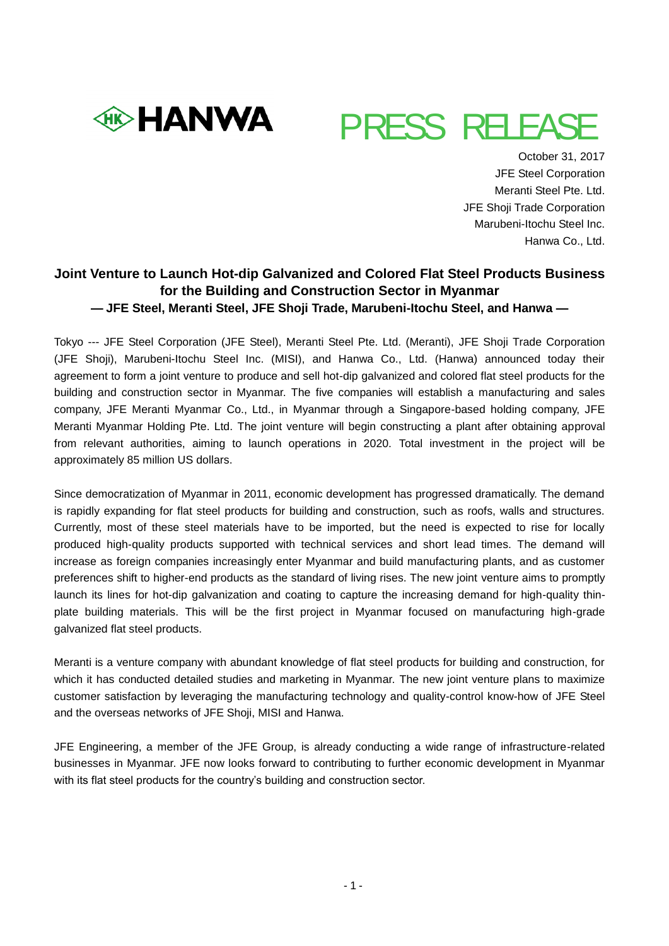



 October 31, 2017 JFE Steel Corporation Meranti Steel Pte. Ltd. JFE Shoji Trade Corporation Marubeni-Itochu Steel Inc. Hanwa Co., Ltd.

# **Joint Venture to Launch Hot-dip Galvanized and Colored Flat Steel Products Business for the Building and Construction Sector in Myanmar — JFE Steel, Meranti Steel, JFE Shoji Trade, Marubeni-Itochu Steel, and Hanwa —**

Tokyo --- JFE Steel Corporation (JFE Steel), Meranti Steel Pte. Ltd. (Meranti), JFE Shoji Trade Corporation (JFE Shoji), Marubeni-Itochu Steel Inc. (MISI), and Hanwa Co., Ltd. (Hanwa) announced today their agreement to form a joint venture to produce and sell hot-dip galvanized and colored flat steel products for the building and construction sector in Myanmar. The five companies will establish a manufacturing and sales company, JFE Meranti Myanmar Co., Ltd., in Myanmar through a Singapore-based holding company, JFE Meranti Myanmar Holding Pte. Ltd. The joint venture will begin constructing a plant after obtaining approval from relevant authorities, aiming to launch operations in 2020. Total investment in the project will be approximately 85 million US dollars.

Since democratization of Myanmar in 2011, economic development has progressed dramatically. The demand is rapidly expanding for flat steel products for building and construction, such as roofs, walls and structures. Currently, most of these steel materials have to be imported, but the need is expected to rise for locally produced high-quality products supported with technical services and short lead times. The demand will increase as foreign companies increasingly enter Myanmar and build manufacturing plants, and as customer preferences shift to higher-end products as the standard of living rises. The new joint venture aims to promptly launch its lines for hot-dip galvanization and coating to capture the increasing demand for high-quality thinplate building materials. This will be the first project in Myanmar focused on manufacturing high-grade galvanized flat steel products.

Meranti is a venture company with abundant knowledge of flat steel products for building and construction, for which it has conducted detailed studies and marketing in Myanmar. The new joint venture plans to maximize customer satisfaction by leveraging the manufacturing technology and quality-control know-how of JFE Steel and the overseas networks of JFE Shoji, MISI and Hanwa.

JFE Engineering, a member of the JFE Group, is already conducting a wide range of infrastructure-related businesses in Myanmar. JFE now looks forward to contributing to further economic development in Myanmar with its flat steel products for the country's building and construction sector.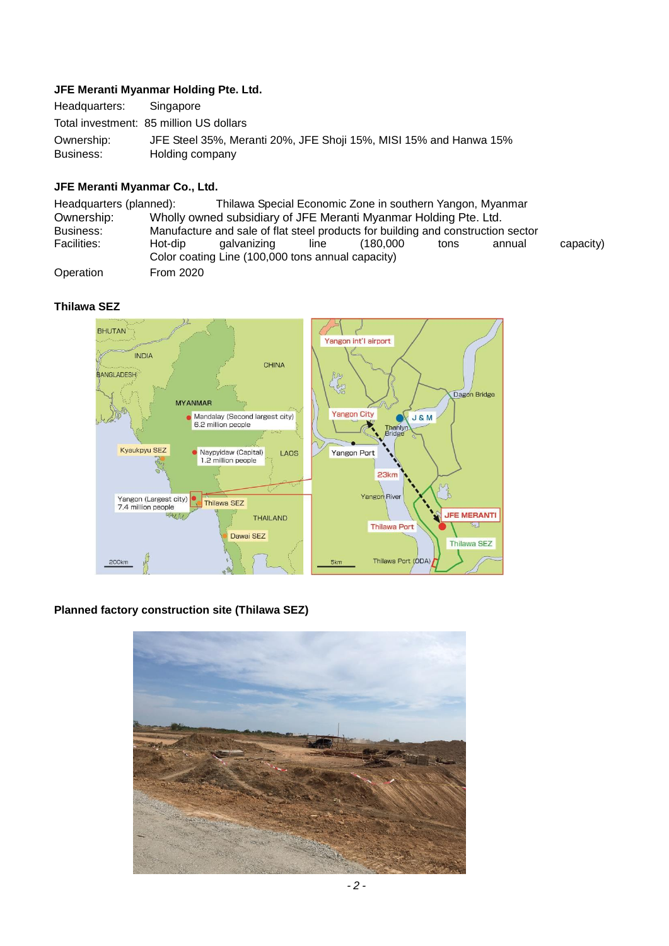## **JFE Meranti Myanmar Holding Pte. Ltd.**

| Headquarters: | Singapore                                                         |
|---------------|-------------------------------------------------------------------|
|               | Total investment: 85 million US dollars                           |
| Ownership:    | JFE Steel 35%, Meranti 20%, JFE Shoji 15%, MISI 15% and Hanwa 15% |
| Business:     | Holding company                                                   |

## **JFE Meranti Myanmar Co., Ltd.**

| Headquarters (planned): |                                                                                  | Thilawa Special Economic Zone in southern Yangon, Myanmar        |      |           |      |        |           |  |  |
|-------------------------|----------------------------------------------------------------------------------|------------------------------------------------------------------|------|-----------|------|--------|-----------|--|--|
| Ownership:              | Wholly owned subsidiary of JFE Meranti Myanmar Holding Pte. Ltd.                 |                                                                  |      |           |      |        |           |  |  |
| Business:               | Manufacture and sale of flat steel products for building and construction sector |                                                                  |      |           |      |        |           |  |  |
| Facilities:             | Hot-dip                                                                          | galvanizing<br>Color coating Line (100,000 tons annual capacity) | line | (180.000) | tons | annual | capacity) |  |  |
| Operation               | <b>From 2020</b>                                                                 |                                                                  |      |           |      |        |           |  |  |

## **Thilawa SEZ**



# **Planned factory construction site (Thilawa SEZ)**